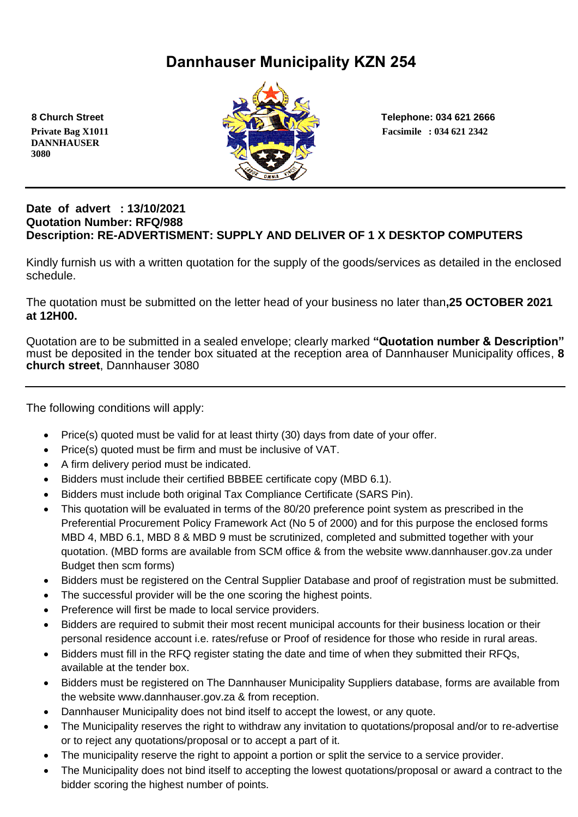# **Dannhauser Municipality KZN 254**

 **DANNHAUSER 3080** 



 **8 Church Street Telephone: 034 621 2666**

#### **Date of advert : 13/10/2021 Quotation Number: RFQ/988 Description: RE-ADVERTISMENT: SUPPLY AND DELIVER OF 1 X DESKTOP COMPUTERS**

Kindly furnish us with a written quotation for the supply of the goods/services as detailed in the enclosed schedule.

The quotation must be submitted on the letter head of your business no later than**,25 OCTOBER 2021 at 12H00.**

Quotation are to be submitted in a sealed envelope; clearly marked **"Quotation number & Description"** must be deposited in the tender box situated at the reception area of Dannhauser Municipality offices, **8 church street**, Dannhauser 3080

The following conditions will apply:

- Price(s) quoted must be valid for at least thirty (30) days from date of your offer.
- Price(s) quoted must be firm and must be inclusive of VAT.
- A firm delivery period must be indicated.
- Bidders must include their certified BBBEE certificate copy (MBD 6.1).
- Bidders must include both original Tax Compliance Certificate (SARS Pin).
- This quotation will be evaluated in terms of the 80/20 preference point system as prescribed in the Preferential Procurement Policy Framework Act (No 5 of 2000) and for this purpose the enclosed forms MBD 4, MBD 6.1, MBD 8 & MBD 9 must be scrutinized, completed and submitted together with your quotation. (MBD forms are available from SCM office & from the website www.dannhauser.gov.za under Budget then scm forms)
- Bidders must be registered on the Central Supplier Database and proof of registration must be submitted.
- The successful provider will be the one scoring the highest points.
- Preference will first be made to local service providers.
- Bidders are required to submit their most recent municipal accounts for their business location or their personal residence account i.e. rates/refuse or Proof of residence for those who reside in rural areas.
- Bidders must fill in the RFQ register stating the date and time of when they submitted their RFQs, available at the tender box.
- Bidders must be registered on The Dannhauser Municipality Suppliers database, forms are available from the website www.dannhauser.gov.za & from reception.
- Dannhauser Municipality does not bind itself to accept the lowest, or any quote.
- The Municipality reserves the right to withdraw any invitation to quotations/proposal and/or to re-advertise or to reject any quotations/proposal or to accept a part of it.
- The municipality reserve the right to appoint a portion or split the service to a service provider.
- The Municipality does not bind itself to accepting the lowest quotations/proposal or award a contract to the bidder scoring the highest number of points.